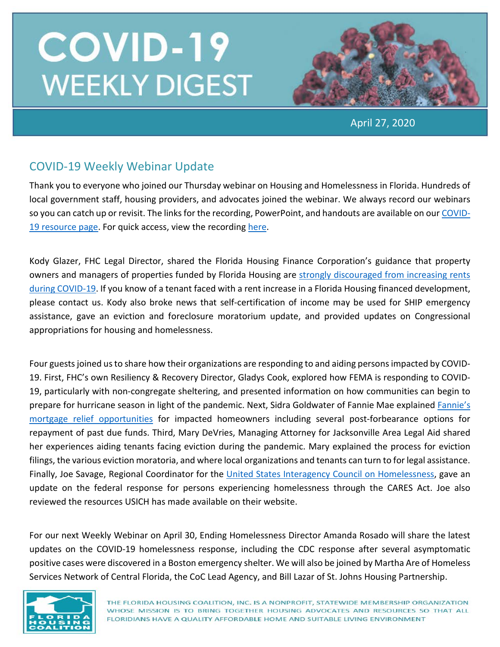

April 27, 2020

## COVID-19 Weekly Webinar Update

Thank you to everyone who joined our Thursday webinar on Housing and Homelessness in Florida. Hundreds of local government staff, housing providers, and advocates joined the webinar. We always record our webinars so you can catch up or revisit. The links for the recording, PowerPoint, and handouts are available on our [COVID-](https://www.flhousing.org/covid-19-housing-related-resources/)[19 resource page.](https://www.flhousing.org/covid-19-housing-related-resources/) For quick access, view the recording [here.](https://vimeo.com/411231839)

Kody Glazer, FHC Legal Director, shared the Florida Housing Finance Corporation's guidance that property owners and managers of properties funded by Florida Housing are [strongly discouraged from increasing rents](https://floridahousing.org/press/press-releases/releases/2020/2020/04/21/press-releases/florida-housing-finance-corporation-urges-property-owners-to-suspend-rent-increases-during-covid-19-pandemic)  [during COVID-19.](https://floridahousing.org/press/press-releases/releases/2020/2020/04/21/press-releases/florida-housing-finance-corporation-urges-property-owners-to-suspend-rent-increases-during-covid-19-pandemic) If you know of a tenant faced with a rent increase in a Florida Housing financed development, please contact us. Kody also broke news that self-certification of income may be used for SHIP emergency assistance, gave an eviction and foreclosure moratorium update, and provided updates on Congressional appropriations for housing and homelessness.

Four guests joined us to share how their organizations are responding to and aiding persons impacted by COVID-19. First, FHC's own Resiliency & Recovery Director, Gladys Cook, explored how FEMA is responding to COVID-19, particularly with non-congregate sheltering, and presented information on how communities can begin to prepare for hurricane season in light of the pandemic. Next, Sidra Goldwater of Fannie Mae explaine[d Fannie's](https://www.knowyouroptions.com/covid19assistance)  [mortgage relief opportunities](https://www.knowyouroptions.com/covid19assistance) for impacted homeowners including several post-forbearance options for repayment of past due funds. Third, Mary DeVries, Managing Attorney for Jacksonville Area Legal Aid shared her experiences aiding tenants facing eviction during the pandemic. Mary explained the process for eviction filings, the various eviction moratoria, and where local organizations and tenants can turn to for legal assistance. Finally, Joe Savage, Regional Coordinator for the [United States Interagency Council on Homelessness,](https://www.usich.gov/covid-19/) gave an update on the federal response for persons experiencing homelessness through the CARES Act. Joe also reviewed the resources USICH has made available on their website.

For our next Weekly Webinar on April 30, Ending Homelessness Director Amanda Rosado will share the latest updates on the COVID-19 homelessness response, including the CDC response after several asymptomatic positive cases were discovered in a Boston emergency shelter. We will also be joined by Martha Are of Homeless Services Network of Central Florida, the CoC Lead Agency, and Bill Lazar of St. Johns Housing Partnership.

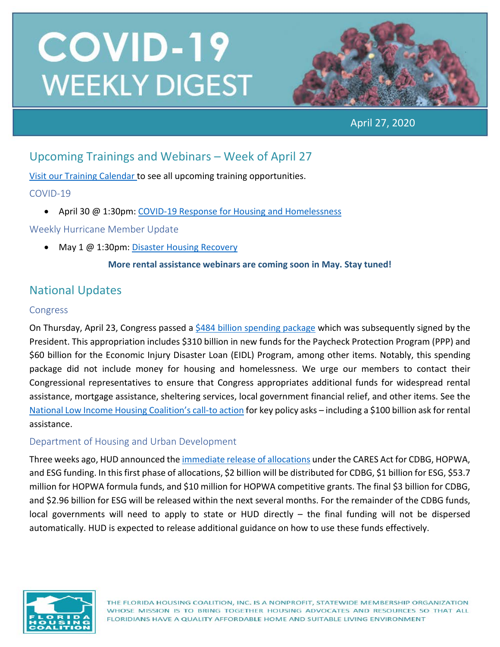

April 27, 2020

## Upcoming Trainings and Webinars – Week of April 27

[Visit our Training Calendar](https://www.flhousing.org/events/) to see all upcoming training opportunities.

#### COVID-19

• April 30 @ 1:30pm: [COVID-19 Response for Housing and Homelessness](https://attendee.gotowebinar.com/register/6384681909406471182)

Weekly Hurricane Member Update

• May 1 @ 1:30pm[: Disaster Housing Recovery](https://attendee.gotowebinar.com/register/156125558113766923)

#### **More rental assistance webinars are coming soon in May. Stay tuned!**

## National Updates

#### Congress

On Thursday, April 23, Congress passed a [\\$484 billion spending package](https://www.cnbc.com/2020/04/24/coronavirus-updates-trump-signs-relief-bill-for-small-business-hospitals.html) which was subsequently signed by the President. This appropriation includes \$310 billion in new funds for the Paycheck Protection Program (PPP) and \$60 billion for the Economic Injury Disaster Loan (EIDL) Program, among other items. Notably, this spending package did not include money for housing and homelessness. We urge our members to contact their Congressional representatives to ensure that Congress appropriates additional funds for widespread rental assistance, mortgage assistance, sheltering services, local government financial relief, and other items. See the [National Low Income Housing Coalition's call-to action](https://nlihc.org/responding-coronavirus) for key policy asks – including a \$100 billion ask for rental assistance.

### Department of Housing and Urban Development

Three weeks ago, HUD announced the [immediate release](https://www.hud.gov/press/press_releases_media_advisories/HUD_No_20_049) of allocations under the CARES Act for CDBG, HOPWA, and ESG funding. In this first phase of allocations, \$2 billion will be distributed for CDBG, \$1 billion for ESG, \$53.7 million for HOPWA formula funds, and \$10 million for HOPWA competitive grants. The final \$3 billion for CDBG, and \$2.96 billion for ESG will be released within the next several months. For the remainder of the CDBG funds, local governments will need to apply to state or HUD directly – the final funding will not be dispersed automatically. HUD is expected to release additional guidance on how to use these funds effectively.

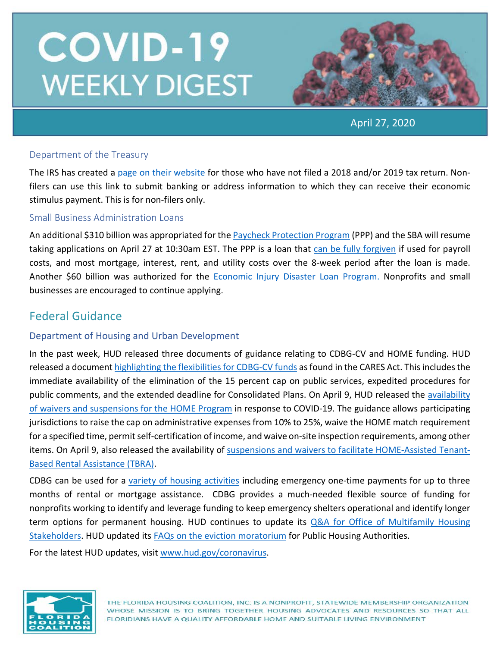

April 27, 2020

#### Department of the Treasury

The IRS has created a [page on their website](https://www.irs.gov/coronavirus/non-filers-enter-payment-info-here) for those who have not filed a 2018 and/or 2019 tax return. Nonfilers can use this link to submit banking or address information to which they can receive their economic stimulus payment. This is for non-filers only.

#### Small Business Administration Loans

An additional \$310 billion was appropriated for th[e Paycheck Protection Program](https://www.sba.gov/funding-programs/loans/coronavirus-relief-options/paycheck-protection-program) (PPP) and the SBA will resume taking applications on April 27 at 10:30am EST. The PPP is a loan that [can be fully forgiven](https://home.treasury.gov/system/files/136/PPP--Fact-Sheet.pdf) if used for payroll costs, and most mortgage, interest, rent, and utility costs over the 8-week period after the loan is made. Another \$60 billion was authorized for the [Economic Injury Disaster Loan Program.](https://www.benefits.gov/benefit/1504) Nonprofits and small businesses are encouraged to continue applying.

### Federal Guidance

#### Department of Housing and Urban Development

In the past week, HUD released three documents of guidance relating to CDBG-CV and HOME funding. HUD released a document [highlighting the flexibilities for CDBG-CV funds](https://files.hudexchange.info/resources/documents/CARES-Act-Flexibilities-CDBG-Funds-Used-Support-Coronavirus-Response.pdf?utm_source=NLIHC+All+Subscribers&utm_campaign=d03ead5a31-EMAIL_CAMPAIGN_2020_04_02_06_44_COPY_01&utm_medium=email&utm_term=) as found in the CARES Act. This includes the immediate availability of the elimination of the 15 percent cap on public services, expedited procedures for public comments, and the extended deadline for Consolidated Plans. On April 9, HUD released the availability [of waivers and suspensions for the HOME Program](https://files.hudexchange.info/resources/documents/Availability-of-Waivers-and-Suspensions-of-the-HOME-Program-Requirements-COVID-19.pdf) in response to COVID-19. The guidance allows participating jurisdictions to raise the cap on administrative expenses from 10% to 25%, waive the HOME match requirement for a specified time, permit self-certification of income, and waive on-site inspection requirements, among other items. On April 9, also released the availability of [suspensions and waivers to facilitate HOME-Assisted Tenant-](https://files.hudexchange.info/resources/documents/Suspensions-and-Waivers-to-Facilitate-Use-of-HOME-Assisted-TBRA-COVID-19.pdf)[Based Rental Assistance \(TBRA\).](https://files.hudexchange.info/resources/documents/Suspensions-and-Waivers-to-Facilitate-Use-of-HOME-Assisted-TBRA-COVID-19.pdf)

CDBG can be used for a [variety of housing activities](https://files.hudexchange.info/resources/documents/Basically-CDBG-Chapter-4-Housing.pdf) including emergency one-time payments for up to three months of rental or mortgage assistance. CDBG provides a much-needed flexible source of funding for nonprofits working to identify and leverage funding to keep emergency shelters operational and identify longer term options for permanent housing. HUD continues to update its [Q&A for Office of Multifamily Housing](https://www.hud.gov/sites/dfiles/Housing/documents/HUD_Multifamily_Corona_QA_FINAL.pdf)  [Stakeholders.](https://www.hud.gov/sites/dfiles/Housing/documents/HUD_Multifamily_Corona_QA_FINAL.pdf) HUD updated its [FAQs on the eviction moratorium](https://www.hud.gov/sites/dfiles/PIH/documents/PIH-HCV-Mod-Rehab-Eviction-QA.pdf) for Public Housing Authorities.

For the latest HUD updates, visit [www.hud.gov/coronavirus.](http://www.hud.gov/coronavirus)

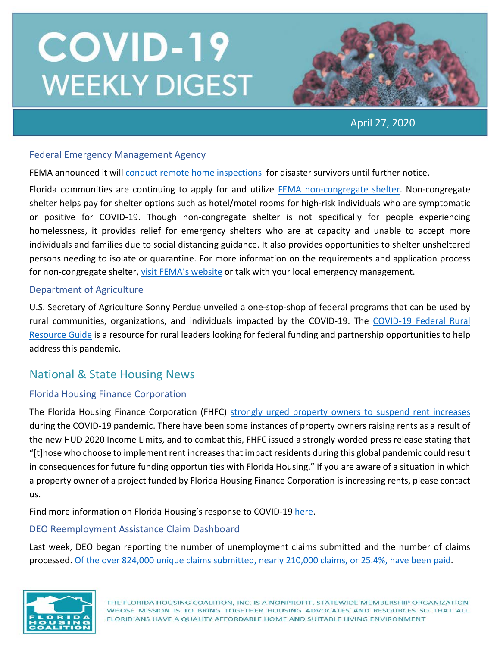

April 27, 2020

#### Federal Emergency Management Agency

FEMA announced it wil[l conduct remote home inspections](https://www.fema.gov/news-release/2020/04/23/individual-and-households-program-remote-inspections?utm_source=NLIHC+All+Subscribers&utm_campaign=c981231e20-EMAIL_CAMPAIGN_2020_04_02_06_44_COPY_01&utm_medium=email&utm_term=0_e090383b5e-c981231e20-29) for disaster survivors until further notice.

Florida communities are continuing to apply for and utilize [FEMA non-congregate shelter.](https://www.fema.gov/news-release/2020/03/19/public-assistance-non-congregate-sheltering-delegation-authority) Non-congregate shelter helps pay for shelter options such as hotel/motel rooms for high-risk individuals who are symptomatic or positive for COVID-19. Though non-congregate shelter is not specifically for people experiencing homelessness, it provides relief for emergency shelters who are at capacity and unable to accept more individuals and families due to social distancing guidance. It also provides opportunities to shelter unsheltered persons needing to isolate or quarantine. For more information on the requirements and application process for non-congregate shelter[, visit FEMA's website](https://www.fema.gov/news-release/2020/03/19/public-assistance-non-congregate-sheltering-delegation-authority) or talk with your local emergency management.

#### Department of Agriculture

U.S. Secretary of Agriculture Sonny Perdue unveiled a one-stop-shop of federal programs that can be used by rural communities, organizations, and individuals impacted by the COVID-19. The [COVID-19 Federal Rural](https://www.rd.usda.gov/sites/default/files/USDA_COVID-19_Fed_Rural_Resource_Guide.pdf)  [Resource Guide](https://www.rd.usda.gov/sites/default/files/USDA_COVID-19_Fed_Rural_Resource_Guide.pdf) is a resource for rural leaders looking for federal funding and partnership opportunities to help address this pandemic.

### National & State Housing News

#### Florida Housing Finance Corporation

The Florida Housing Finance Corporation (FHFC) [strongly urged property owners to suspend rent increases](https://www.floridahousing.org/press/press-releases/releases/2020/2020/04/21/press-releases/florida-housing-finance-corporation-urges-property-owners-to-suspend-rent-increases-during-covid-19-pandemic) during the COVID-19 pandemic. There have been some instances of property owners raising rents as a result of the new HUD 2020 Income Limits, and to combat this, FHFC issued a strongly worded press release stating that "[t]hose who choose to implement rent increases that impact residents during this global pandemic could result in consequences for future funding opportunities with Florida Housing." If you are aware of a situation in which a property owner of a project funded by Florida Housing Finance Corporation is increasing rents, please contact us.

Find more information on Florida Housing's response to COVID-19 [here.](https://lnks.gd/l/eyJhbGciOiJIUzI1NiJ9.eyJidWxsZXRpbl9saW5rX2lkIjoxNTIsInVyaSI6ImJwMjpjbGljayIsImJ1bGxldGluX2lkIjoiMjAyMDA0MTkuMjAzNTg3NzEiLCJ1cmwiOiJodHRwczovL2xua3MuZ2QvbC9leUpoYkdjaU9pSklVekkxTmlKOS5leUppZFd4c1pYUnBibDlzYVc1clgybGtJam94TmpZc0luVnlhU0k2SW1Kd01qcGpiR2xqYXlJc0ltSjFiR3hsZEdsdVgybGtJam9pTWpBeU1EQTBNVGd1TWpBek16STNPREVpTENKMWNtd2lPaUpvZEhSd2N6b3ZMM2QzZHk1bWJHOXlhV1JoYUc5MWMybHVaeTV2Y21jdllXSnZkWFF0Wm14dmNtbGtZUzFvYjNWemFXNW5MMk52ZG1sa0xURTVMV2x1Wm05eWJXRjBhVzl1TFdGdVpDMXlaWE52ZFhKalpYTWlmUS54eFRmbnRpcUpYak9GUlVkSWpGdlZaay03aVlndGdQd0RLSjFGQUlHMFdzL2JyLzc3NTg0MTE2OTk0LWwifQ.0nwdluHYvuIcuAJMikGJw-OFR2cGPw74S98_63Da4Nc/br/77596542240-l)

#### DEO Reemployment Assistance Claim Dashboard

Last week, DEO began reporting the number of unemployment claims submitted and the number of claims processed. [Of the over 824,000 unique claims submitted, nearly 210,000 claims, or 25.4%,](https://www.fema.gov/news-release/2020/04/23/individual-and-households-program-remote-inspections?utm_source=NLIHC+All+Subscribers&utm_campaign=c981231e20-EMAIL_CAMPAIGN_2020_04_02_06_44_COPY_01&utm_medium=email&utm_term=0_e090383b5e-c981231e20-29) have been paid.

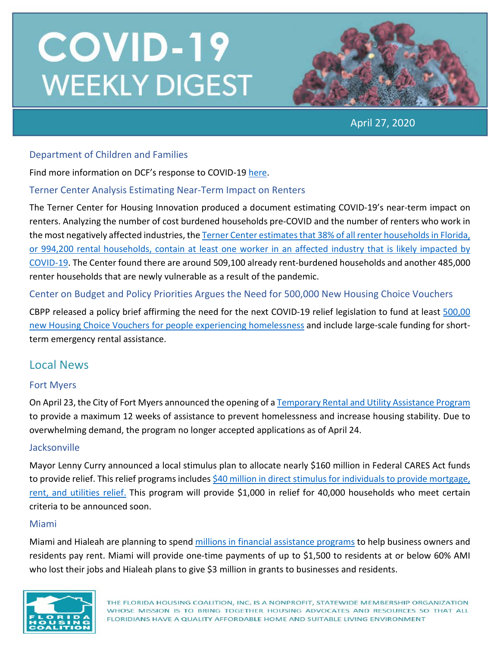

April 27, 2020

#### Department of Children and Families

Find more information on DCF's response to COVID-19 [here.](https://lnks.gd/l/eyJhbGciOiJIUzI1NiJ9.eyJidWxsZXRpbl9saW5rX2lkIjoxMDUsInVyaSI6ImJwMjpjbGljayIsImJ1bGxldGluX2lkIjoiMjAyMDA0MjQuMjA2MzkzMTEiLCJ1cmwiOiJodHRwczovL3d3dy5teWZsZmFtaWxpZXMuY29tL2NvdmlkMTkvIn0.EATecvOpfQk6trk8L6BcWf0NHHqN-eSO24OO4t_XgnE/br/77839344424-l)

#### Terner Center Analysis Estimating Near-Term Impact on Renters

The Terner Center for Housing Innovation produced a document estimating COVID-19's near-term impact on renters. Analyzing the number of cost burdened households pre-COVID and the number of renters who work in the most negatively affected industries, th[e Terner Center estimates that 38% of all renter householdsin Florida,](https://www.fema.gov/news-release/2020/04/23/individual-and-households-program-remote-inspections?utm_source=NLIHC+All+Subscribers&utm_campaign=c981231e20-EMAIL_CAMPAIGN_2020_04_02_06_44_COPY_01&utm_medium=email&utm_term=0_e090383b5e-c981231e20-29)  [or 994,200 rental households, contain at least one worker in an affected industry that is likely impacted by](https://www.fema.gov/news-release/2020/04/23/individual-and-households-program-remote-inspections?utm_source=NLIHC+All+Subscribers&utm_campaign=c981231e20-EMAIL_CAMPAIGN_2020_04_02_06_44_COPY_01&utm_medium=email&utm_term=0_e090383b5e-c981231e20-29)  [COVID-19.](https://www.fema.gov/news-release/2020/04/23/individual-and-households-program-remote-inspections?utm_source=NLIHC+All+Subscribers&utm_campaign=c981231e20-EMAIL_CAMPAIGN_2020_04_02_06_44_COPY_01&utm_medium=email&utm_term=0_e090383b5e-c981231e20-29) The Center found there are around 509,100 already rent-burdened households and another 485,000 renter households that are newly vulnerable as a result of the pandemic.

#### Center on Budget and Policy Priorities Argues the Need for 500,000 New Housing Choice Vouchers

CBPP released a policy brief affirming the need for the next COVID-19 relief legislation to fund at least [500,00](https://www.cbpp.org/blog/urgent-need-for-more-housing-vouchers-other-rental-assistance-amid-pandemic?utm_source=NLIHC+All+Subscribers&utm_campaign=c981231e20-EMAIL_CAMPAIGN_2020_04_02_06_44_COPY_01&utm_medium=email&utm_term=0_e090383b5e-c981231e2)  [new Housing Choice Vouchers for people experiencing homelessness](https://www.cbpp.org/blog/urgent-need-for-more-housing-vouchers-other-rental-assistance-amid-pandemic?utm_source=NLIHC+All+Subscribers&utm_campaign=c981231e20-EMAIL_CAMPAIGN_2020_04_02_06_44_COPY_01&utm_medium=email&utm_term=0_e090383b5e-c981231e2) and include large-scale funding for shortterm emergency rental assistance.

### Local News

#### Fort Myers

On April 23, the City of Fort Myers announced the opening of [a Temporary Rental and Utility Assistance Program](https://cityftmyers.com/1881/COVID-19-EMERGENCY-ASSISTANCE) to provide a maximum 12 weeks of assistance to prevent homelessness and increase housing stability. Due to overwhelming demand, the program no longer accepted applications as of April 24.

#### **Jacksonville**

Mayor Lenny Curry announced a local stimulus plan to allocate nearly \$160 million in Federal CARES Act funds to provide relief. This relief programs include[s \\$40 million in direct stimulus for individuals to provide mortgage,](https://www.linkedin.com/posts/city-of-jacksonville_mayor-lenny-curry-has-just-announced-a-local-activity-6659133634676604928--C4J/)  [rent, and utilities relief.](https://www.linkedin.com/posts/city-of-jacksonville_mayor-lenny-curry-has-just-announced-a-local-activity-6659133634676604928--C4J/) This program will provide \$1,000 in relief for 40,000 households who meet certain criteria to be announced soon.

#### Miami

Miami and Hialeah are planning to spend [millions in financial assistance programs](https://www.miamiherald.com/news/coronavirus/article242260866.html) to help business owners and residents pay rent. Miami will provide one-time payments of up to \$1,500 to residents at or below 60% AMI who lost their jobs and Hialeah plans to give \$3 million in grants to businesses and residents.

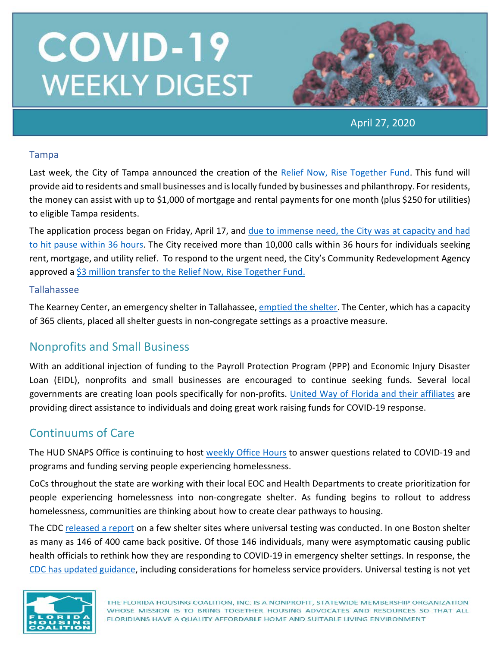

April 27, 2020

#### Tampa

Last week, the City of Tampa announced the creation of the [Relief Now, Rise Together Fund.](https://www.tampagov.net/relief-now) This fund will provide aid to residents and small businesses and is locally funded by businesses and philanthropy. For residents, the money can assist with up to \$1,000 of mortgage and rental payments for one month (plus \$250 for utilities) to eligible Tampa residents.

The application process began on Friday, April 17, and [due to immense need, the City](https://www.bizjournals.com/tampabay/news/2020/04/21/city-of-tampa-s-relief-fund-hits-capacity-after.html) was at capacity and had [to hit pause within 36 hours.](https://www.bizjournals.com/tampabay/news/2020/04/21/city-of-tampa-s-relief-fund-hits-capacity-after.html) The City received more than 10,000 calls within 36 hours for individuals seeking rent, mortgage, and utility relief. To respond to the urgent need, the City's Community Redevelopment Agency approved [a \\$3 million transfer to the Relief Now, Rise Together Fund.](https://www.tampabay.com/news/health/2020/04/23/one-tampa-relief-plan-gets-boost-with-redevelopment-dollars/)

#### Tallahassee

The Kearney Center, an emergency shelter in Tallahassee, [emptied the shelter.](https://www.tallahassee.com/story/news/2020/04/16/kearney-shelter-emptied-out-homeless-moved-non-congregate-living-arrangements/2989765001/?fbclid=IwAR1KrXXu6N95vsofjFPW2Jo9QiI2YkyGP27EwCmUeEpSQ19WbkYkVV7zpII) The Center, which has a capacity of 365 clients, placed all shelter guests in non-congregate settings as a proactive measure.

## Nonprofits and Small Business

With an additional injection of funding to the Payroll Protection Program (PPP) and Economic Injury Disaster Loan (EIDL), nonprofits and small businesses are encouraged to continue seeking funds. Several local governments are creating loan pools specifically for non-profits. [United Way of Florida and their affiliates](https://www.uwof.org/) are providing direct assistance to individuals and doing great work raising funds for COVID-19 response.

### Continuums of Care

The HUD SNAPS Office is continuing to host [weekly Office Hours](https://www.hudexchange.info/news/office-hours-covid-19-planning-response-for-homeless-assistance-providers-fridays/) to answer questions related to COVID-19 and programs and funding serving people experiencing homelessness.

CoCs throughout the state are working with their local EOC and Health Departments to create prioritization for people experiencing homelessness into non-congregate shelter. As funding begins to rollout to address homelessness, communities are thinking about how to create clear pathways to housing.

The CDC [released a report](https://www.cdc.gov/mmwr/volumes/69/wr/mm6917e1.htm?s_cid=mm6917e1_w) on a few shelter sites where universal testing was conducted. In one Boston shelter as many as 146 of 400 came back positive. Of those 146 individuals, many were asymptomatic causing public health officials to rethink how they are responding to COVID-19 in emergency shelter settings. In response, the [CDC has updated guidance,](https://www.cdc.gov/coronavirus/2019-ncov/community/homeless-shelters/plan-prepare-respond.html) including considerations for homeless service providers. Universal testing is not yet